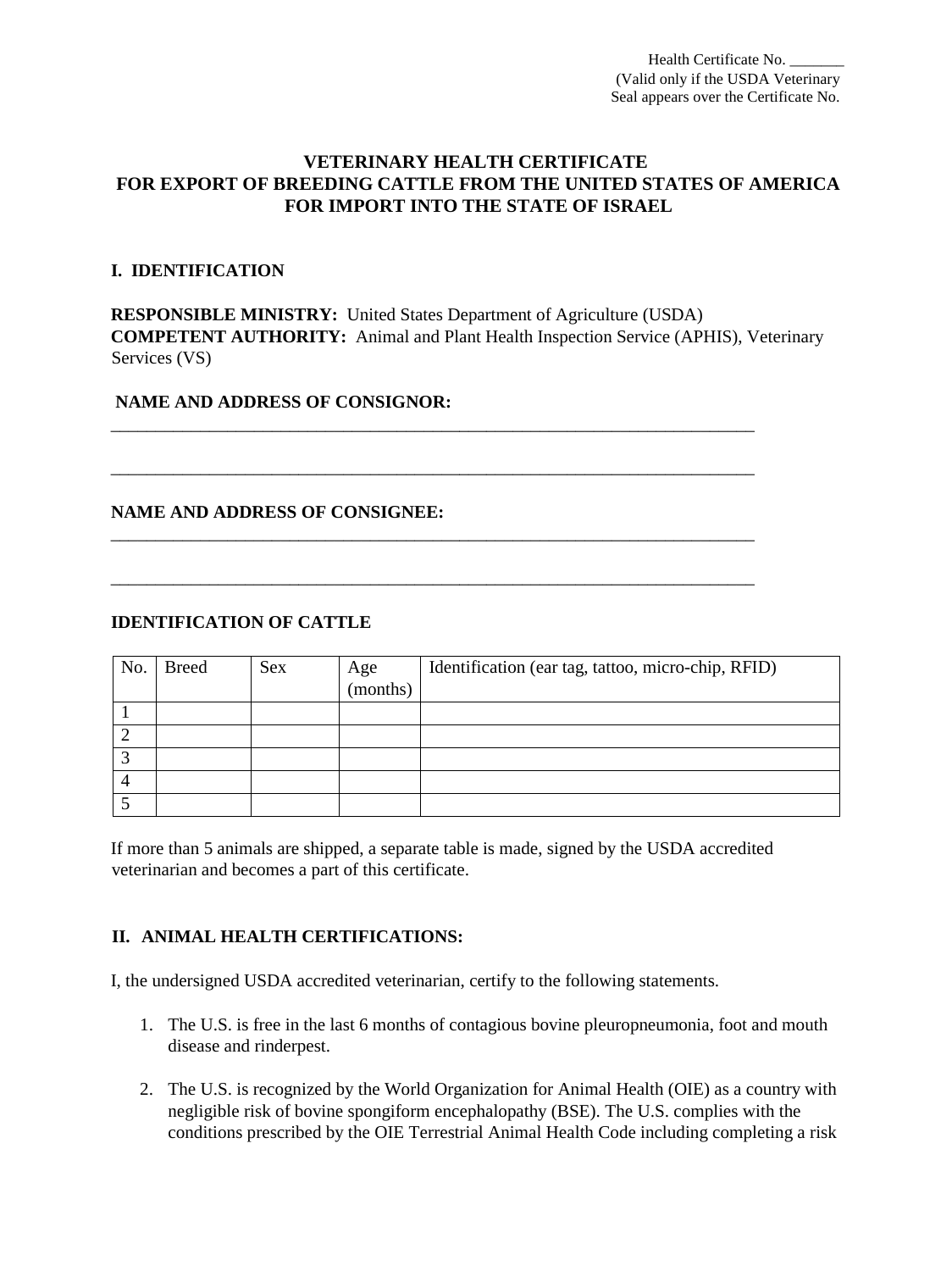Health Certificate No. (Valid only if the USDA Veterinary Seal appears over the Certificate No.

# **VETERINARY HEALTH CERTIFICATE FOR EXPORT OF BREEDING CATTLE FROM THE UNITED STATES OF AMERICA FOR IMPORT INTO THE STATE OF ISRAEL**

### **I. IDENTIFICATION**

**RESPONSIBLE MINISTRY:** United States Department of Agriculture (USDA) **COMPETENT AUTHORITY:** Animal and Plant Health Inspection Service (APHIS), Veterinary Services (VS)

\_\_\_\_\_\_\_\_\_\_\_\_\_\_\_\_\_\_\_\_\_\_\_\_\_\_\_\_\_\_\_\_\_\_\_\_\_\_\_\_\_\_\_\_\_\_\_\_\_\_\_\_\_\_\_\_\_\_\_\_\_\_\_\_\_\_\_\_\_\_\_\_

\_\_\_\_\_\_\_\_\_\_\_\_\_\_\_\_\_\_\_\_\_\_\_\_\_\_\_\_\_\_\_\_\_\_\_\_\_\_\_\_\_\_\_\_\_\_\_\_\_\_\_\_\_\_\_\_\_\_\_\_\_\_\_\_\_\_\_\_\_\_\_\_

\_\_\_\_\_\_\_\_\_\_\_\_\_\_\_\_\_\_\_\_\_\_\_\_\_\_\_\_\_\_\_\_\_\_\_\_\_\_\_\_\_\_\_\_\_\_\_\_\_\_\_\_\_\_\_\_\_\_\_\_\_\_\_\_\_\_\_\_\_\_\_\_

\_\_\_\_\_\_\_\_\_\_\_\_\_\_\_\_\_\_\_\_\_\_\_\_\_\_\_\_\_\_\_\_\_\_\_\_\_\_\_\_\_\_\_\_\_\_\_\_\_\_\_\_\_\_\_\_\_\_\_\_\_\_\_\_\_\_\_\_\_\_\_\_

#### **NAME AND ADDRESS OF CONSIGNOR:**

### **NAME AND ADDRESS OF CONSIGNEE:**

### **IDENTIFICATION OF CATTLE**

| No. | <b>Breed</b> | <b>Sex</b> | Age      | Identification (ear tag, tattoo, micro-chip, RFID) |
|-----|--------------|------------|----------|----------------------------------------------------|
|     |              |            | (months) |                                                    |
|     |              |            |          |                                                    |
|     |              |            |          |                                                    |
|     |              |            |          |                                                    |
| 4   |              |            |          |                                                    |
|     |              |            |          |                                                    |

If more than 5 animals are shipped, a separate table is made, signed by the USDA accredited veterinarian and becomes a part of this certificate.

#### **II. ANIMAL HEALTH CERTIFICATIONS:**

I, the undersigned USDA accredited veterinarian, certify to the following statements.

- 1. The U.S. is free in the last 6 months of contagious bovine pleuropneumonia, foot and mouth disease and rinderpest.
- 2. The U.S. is recognized by the World Organization for Animal Health (OIE) as a country with negligible risk of bovine spongiform encephalopathy (BSE). The U.S. complies with the conditions prescribed by the OIE Terrestrial Animal Health Code including completing a risk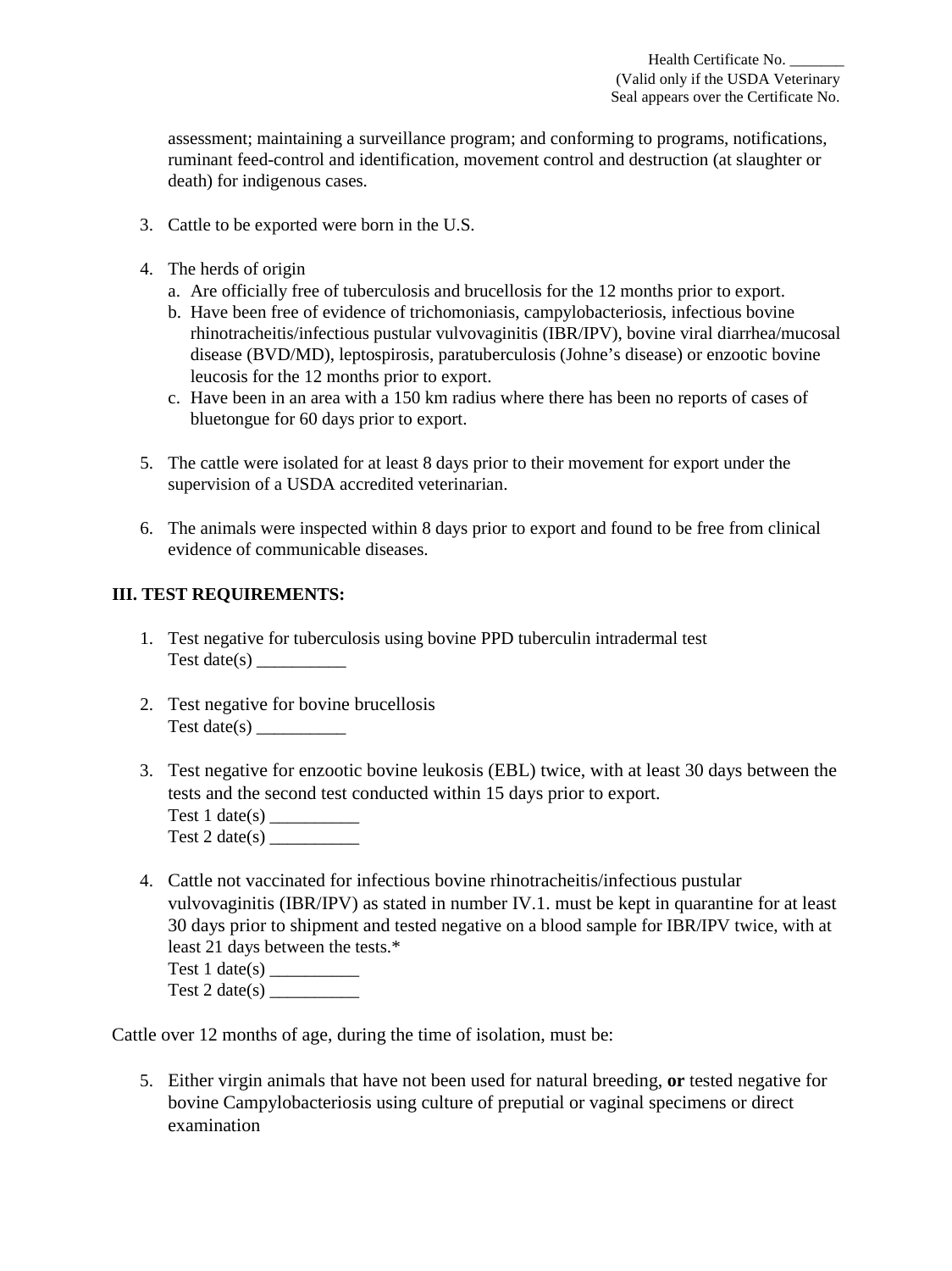assessment; maintaining a surveillance program; and conforming to programs, notifications, ruminant feed-control and identification, movement control and destruction (at slaughter or death) for indigenous cases.

- 3. Cattle to be exported were born in the U.S.
- 4. The herds of origin
	- a. Are officially free of tuberculosis and brucellosis for the 12 months prior to export.
	- b. Have been free of evidence of trichomoniasis, campylobacteriosis, infectious bovine rhinotracheitis/infectious pustular vulvovaginitis (IBR/IPV), bovine viral diarrhea/mucosal disease (BVD/MD), leptospirosis, paratuberculosis (Johne's disease) or enzootic bovine leucosis for the 12 months prior to export.
	- c. Have been in an area with a 150 km radius where there has been no reports of cases of bluetongue for 60 days prior to export.
- 5. The cattle were isolated for at least 8 days prior to their movement for export under the supervision of a USDA accredited veterinarian.
- 6. The animals were inspected within 8 days prior to export and found to be free from clinical evidence of communicable diseases.

# **III. TEST REQUIREMENTS:**

- 1. Test negative for tuberculosis using bovine PPD tuberculin intradermal test Test date( $s$ )
- 2. Test negative for bovine brucellosis Test date(s)  $\frac{1}{\sqrt{1-\frac{1}{\sqrt{1-\frac{1}{\sqrt{1-\frac{1}{\sqrt{1-\frac{1}{\sqrt{1-\frac{1}{\sqrt{1-\frac{1}{\sqrt{1-\frac{1}{\sqrt{1-\frac{1}{\sqrt{1-\frac{1}{\sqrt{1-\frac{1}{\sqrt{1-\frac{1}{\sqrt{1-\frac{1}{\sqrt{1-\frac{1}{\sqrt{1-\frac{1}{\sqrt{1-\frac{1}{\sqrt{1-\frac{1}{\sqrt{1-\frac{1}{\sqrt{1-\frac{1}{\sqrt{1-\frac{1}{\sqrt{1-\frac{1}{\sqrt{1-\frac{1}{\sqrt{1-\frac{1}{\sqrt{1$
- 3. Test negative for enzootic bovine leukosis (EBL) twice, with at least 30 days between the tests and the second test conducted within 15 days prior to export. Test 1 date(s) \_\_\_\_\_\_\_\_\_\_
	- Test 2 date(s)
- 4. Cattle not vaccinated for infectious bovine rhinotracheitis/infectious pustular vulvovaginitis (IBR/IPV) as stated in number IV.1. must be kept in quarantine for at least 30 days prior to shipment and tested negative on a blood sample for IBR/IPV twice, with at least 21 days between the tests.\* Test  $1$  date(s)

Cattle over 12 months of age, during the time of isolation, must be:

5. Either virgin animals that have not been used for natural breeding, **or** tested negative for bovine Campylobacteriosis using culture of preputial or vaginal specimens or direct examination

Test 2 date(s)